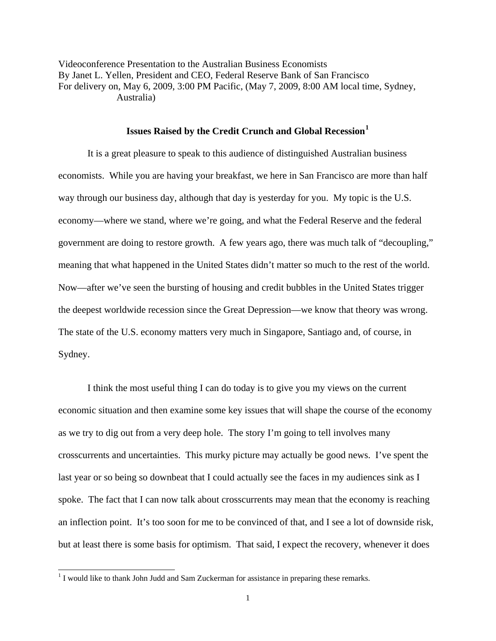Videoconference Presentation to the Australian Business Economists By Janet L. Yellen, President and CEO, Federal Reserve Bank of San Francisco For delivery on, May 6, 2009, 3:00 PM Pacific, (May 7, 2009, 8:00 AM local time, Sydney, Australia)

## **Issues Raised by the Credit Crunch and Global Recession[1](#page-0-0)**

It is a great pleasure to speak to this audience of distinguished Australian business economists. While you are having your breakfast, we here in San Francisco are more than half way through our business day, although that day is yesterday for you. My topic is the U.S. economy—where we stand, where we're going, and what the Federal Reserve and the federal government are doing to restore growth. A few years ago, there was much talk of "decoupling," meaning that what happened in the United States didn't matter so much to the rest of the world. Now—after we've seen the bursting of housing and credit bubbles in the United States trigger the deepest worldwide recession since the Great Depression—we know that theory was wrong. The state of the U.S. economy matters very much in Singapore, Santiago and, of course, in Sydney.

 I think the most useful thing I can do today is to give you my views on the current economic situation and then examine some key issues that will shape the course of the economy as we try to dig out from a very deep hole. The story I'm going to tell involves many crosscurrents and uncertainties. This murky picture may actually be good news. I've spent the last year or so being so downbeat that I could actually see the faces in my audiences sink as I spoke. The fact that I can now talk about crosscurrents may mean that the economy is reaching an inflection point. It's too soon for me to be convinced of that, and I see a lot of downside risk, but at least there is some basis for optimism. That said, I expect the recovery, whenever it does

<span id="page-0-0"></span><sup>&</sup>lt;sup>1</sup> I would like to thank John Judd and Sam Zuckerman for assistance in preparing these remarks.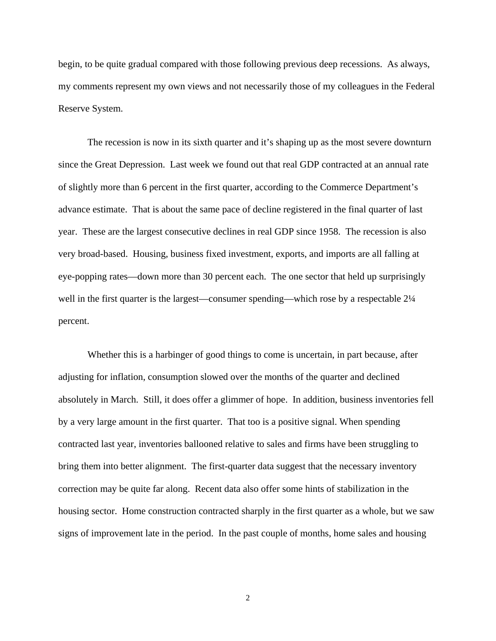begin, to be quite gradual compared with those following previous deep recessions. As always, my comments represent my own views and not necessarily those of my colleagues in the Federal Reserve System.

The recession is now in its sixth quarter and it's shaping up as the most severe downturn since the Great Depression. Last week we found out that real GDP contracted at an annual rate of slightly more than 6 percent in the first quarter, according to the Commerce Department's advance estimate. That is about the same pace of decline registered in the final quarter of last year. These are the largest consecutive declines in real GDP since 1958. The recession is also very broad-based. Housing, business fixed investment, exports, and imports are all falling at eye-popping rates—down more than 30 percent each. The one sector that held up surprisingly well in the first quarter is the largest—consumer spending—which rose by a respectable  $2\frac{1}{4}$ percent.

Whether this is a harbinger of good things to come is uncertain, in part because, after adjusting for inflation, consumption slowed over the months of the quarter and declined absolutely in March. Still, it does offer a glimmer of hope. In addition, business inventories fell by a very large amount in the first quarter. That too is a positive signal. When spending contracted last year, inventories ballooned relative to sales and firms have been struggling to bring them into better alignment. The first-quarter data suggest that the necessary inventory correction may be quite far along. Recent data also offer some hints of stabilization in the housing sector. Home construction contracted sharply in the first quarter as a whole, but we saw signs of improvement late in the period. In the past couple of months, home sales and housing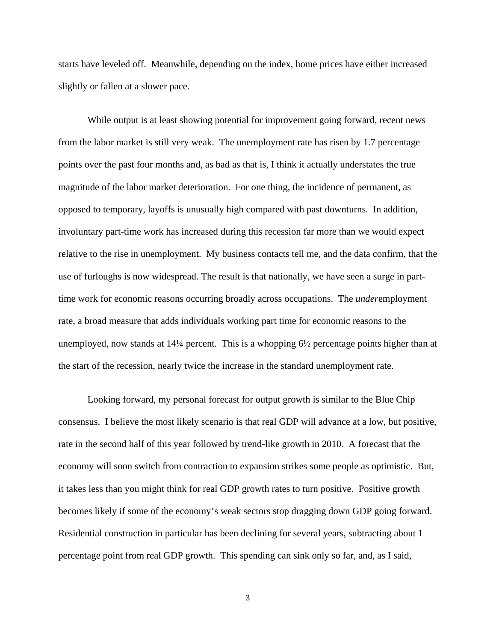starts have leveled off. Meanwhile, depending on the index, home prices have either increased slightly or fallen at a slower pace.

While output is at least showing potential for improvement going forward, recent news from the labor market is still very weak. The unemployment rate has risen by 1.7 percentage points over the past four months and, as bad as that is, I think it actually understates the true magnitude of the labor market deterioration. For one thing, the incidence of permanent, as opposed to temporary, layoffs is unusually high compared with past downturns. In addition, involuntary part-time work has increased during this recession far more than we would expect relative to the rise in unemployment. My business contacts tell me, and the data confirm, that the use of furloughs is now widespread. The result is that nationally, we have seen a surge in parttime work for economic reasons occurring broadly across occupations. The *under*employment rate, a broad measure that adds individuals working part time for economic reasons to the unemployed, now stands at  $14\frac{1}{4}$  percent. This is a whopping  $6\frac{1}{2}$  percentage points higher than at the start of the recession, nearly twice the increase in the standard unemployment rate.

Looking forward, my personal forecast for output growth is similar to the Blue Chip consensus. I believe the most likely scenario is that real GDP will advance at a low, but positive, rate in the second half of this year followed by trend-like growth in 2010. A forecast that the economy will soon switch from contraction to expansion strikes some people as optimistic. But, it takes less than you might think for real GDP growth rates to turn positive. Positive growth becomes likely if some of the economy's weak sectors stop dragging down GDP going forward. Residential construction in particular has been declining for several years, subtracting about 1 percentage point from real GDP growth. This spending can sink only so far, and, as I said,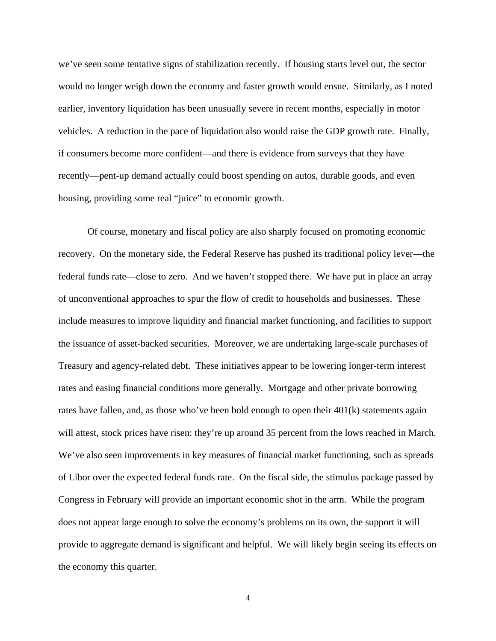we've seen some tentative signs of stabilization recently. If housing starts level out, the sector would no longer weigh down the economy and faster growth would ensue. Similarly, as I noted earlier, inventory liquidation has been unusually severe in recent months, especially in motor vehicles. A reduction in the pace of liquidation also would raise the GDP growth rate. Finally, if consumers become more confident—and there is evidence from surveys that they have recently—pent-up demand actually could boost spending on autos, durable goods, and even housing, providing some real "juice" to economic growth.

Of course, monetary and fiscal policy are also sharply focused on promoting economic recovery. On the monetary side, the Federal Reserve has pushed its traditional policy lever—the federal funds rate—close to zero. And we haven't stopped there. We have put in place an array of unconventional approaches to spur the flow of credit to households and businesses. These include measures to improve liquidity and financial market functioning, and facilities to support the issuance of asset-backed securities. Moreover, we are undertaking large-scale purchases of Treasury and agency-related debt. These initiatives appear to be lowering longer-term interest rates and easing financial conditions more generally. Mortgage and other private borrowing rates have fallen, and, as those who've been bold enough to open their 401(k) statements again will attest, stock prices have risen: they're up around 35 percent from the lows reached in March. We've also seen improvements in key measures of financial market functioning, such as spreads of Libor over the expected federal funds rate. On the fiscal side, the stimulus package passed by Congress in February will provide an important economic shot in the arm. While the program does not appear large enough to solve the economy's problems on its own, the support it will provide to aggregate demand is significant and helpful. We will likely begin seeing its effects on the economy this quarter.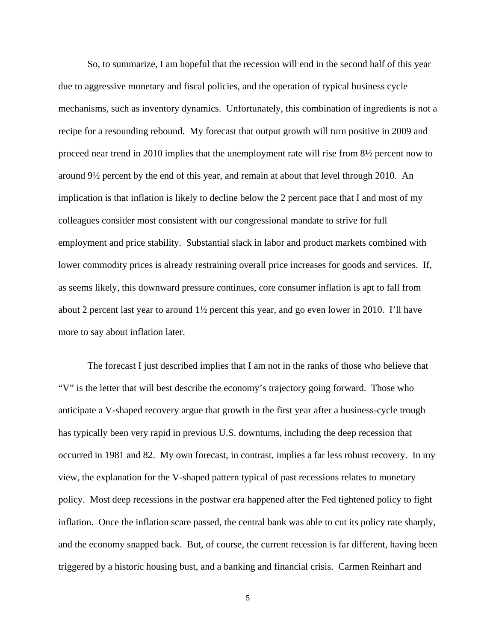So, to summarize, I am hopeful that the recession will end in the second half of this year due to aggressive monetary and fiscal policies, and the operation of typical business cycle mechanisms, such as inventory dynamics. Unfortunately, this combination of ingredients is not a recipe for a resounding rebound. My forecast that output growth will turn positive in 2009 and proceed near trend in 2010 implies that the unemployment rate will rise from 8½ percent now to around 9½ percent by the end of this year, and remain at about that level through 2010. An implication is that inflation is likely to decline below the 2 percent pace that I and most of my colleagues consider most consistent with our congressional mandate to strive for full employment and price stability. Substantial slack in labor and product markets combined with lower commodity prices is already restraining overall price increases for goods and services. If, as seems likely, this downward pressure continues, core consumer inflation is apt to fall from about 2 percent last year to around 1½ percent this year, and go even lower in 2010. I'll have more to say about inflation later.

The forecast I just described implies that I am not in the ranks of those who believe that "V" is the letter that will best describe the economy's trajectory going forward. Those who anticipate a V-shaped recovery argue that growth in the first year after a business-cycle trough has typically been very rapid in previous U.S. downturns, including the deep recession that occurred in 1981 and 82. My own forecast, in contrast, implies a far less robust recovery. In my view, the explanation for the V-shaped pattern typical of past recessions relates to monetary policy. Most deep recessions in the postwar era happened after the Fed tightened policy to fight inflation. Once the inflation scare passed, the central bank was able to cut its policy rate sharply, and the economy snapped back. But, of course, the current recession is far different, having been triggered by a historic housing bust, and a banking and financial crisis. Carmen Reinhart and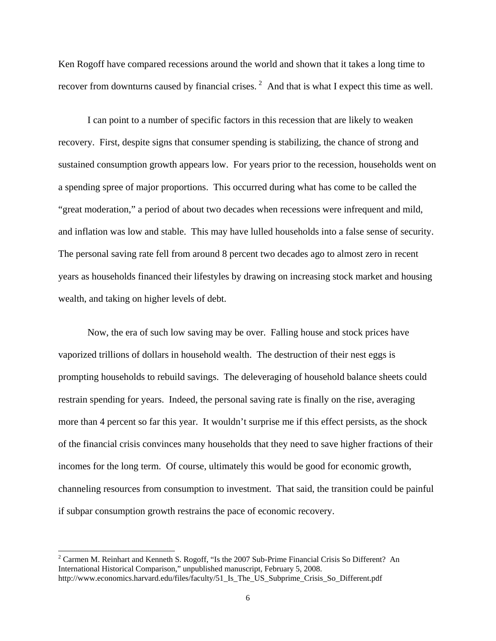Ken Rogoff have compared recessions around the world and shown that it takes a long time to recover from downturns caused by financial crises.<sup>[2](#page-5-0)</sup> And that is what I expect this time as well.

I can point to a number of specific factors in this recession that are likely to weaken recovery. First, despite signs that consumer spending is stabilizing, the chance of strong and sustained consumption growth appears low. For years prior to the recession, households went on a spending spree of major proportions. This occurred during what has come to be called the "great moderation," a period of about two decades when recessions were infrequent and mild, and inflation was low and stable. This may have lulled households into a false sense of security. The personal saving rate fell from around 8 percent two decades ago to almost zero in recent years as households financed their lifestyles by drawing on increasing stock market and housing wealth, and taking on higher levels of debt.

Now, the era of such low saving may be over. Falling house and stock prices have vaporized trillions of dollars in household wealth. The destruction of their nest eggs is prompting households to rebuild savings. The deleveraging of household balance sheets could restrain spending for years. Indeed, the personal saving rate is finally on the rise, averaging more than 4 percent so far this year. It wouldn't surprise me if this effect persists, as the shock of the financial crisis convinces many households that they need to save higher fractions of their incomes for the long term. Of course, ultimately this would be good for economic growth, channeling resources from consumption to investment. That said, the transition could be painful if subpar consumption growth restrains the pace of economic recovery.

l

<span id="page-5-0"></span> $2^2$  Carmen M. Reinhart and Kenneth S. Rogoff, "Is the 2007 Sub-Prime Financial Crisis So Different? An International Historical Comparison," unpublished manuscript, February 5, 2008. http://www.economics.harvard.edu/files/faculty/51\_Is\_The\_US\_Subprime\_Crisis\_So\_Different.pdf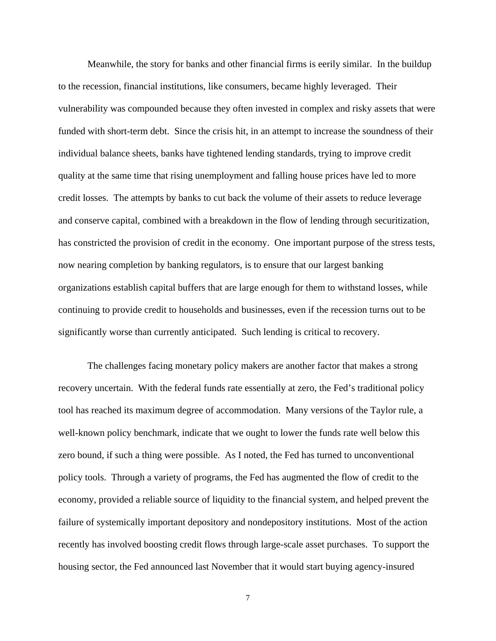Meanwhile, the story for banks and other financial firms is eerily similar. In the buildup to the recession, financial institutions, like consumers, became highly leveraged. Their vulnerability was compounded because they often invested in complex and risky assets that were funded with short-term debt. Since the crisis hit, in an attempt to increase the soundness of their individual balance sheets, banks have tightened lending standards, trying to improve credit quality at the same time that rising unemployment and falling house prices have led to more credit losses. The attempts by banks to cut back the volume of their assets to reduce leverage and conserve capital, combined with a breakdown in the flow of lending through securitization, has constricted the provision of credit in the economy. One important purpose of the stress tests, now nearing completion by banking regulators, is to ensure that our largest banking organizations establish capital buffers that are large enough for them to withstand losses, while continuing to provide credit to households and businesses, even if the recession turns out to be significantly worse than currently anticipated. Such lending is critical to recovery.

The challenges facing monetary policy makers are another factor that makes a strong recovery uncertain. With the federal funds rate essentially at zero, the Fed's traditional policy tool has reached its maximum degree of accommodation. Many versions of the Taylor rule, a well-known policy benchmark, indicate that we ought to lower the funds rate well below this zero bound, if such a thing were possible. As I noted, the Fed has turned to unconventional policy tools. Through a variety of programs, the Fed has augmented the flow of credit to the economy, provided a reliable source of liquidity to the financial system, and helped prevent the failure of systemically important depository and nondepository institutions. Most of the action recently has involved boosting credit flows through large-scale asset purchases. To support the housing sector, the Fed announced last November that it would start buying agency-insured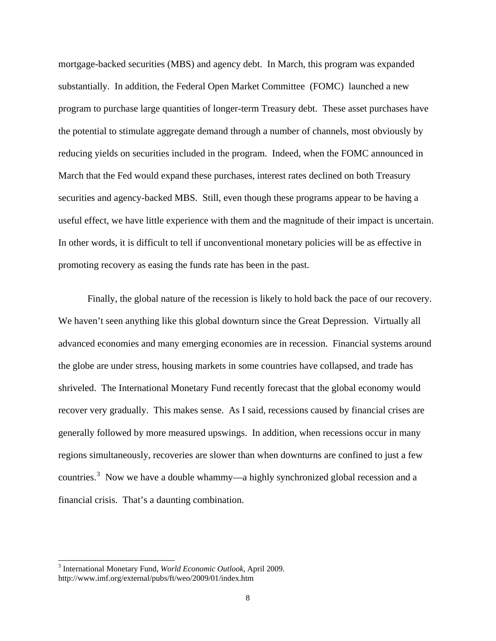mortgage-backed securities (MBS) and agency debt. In March, this program was expanded substantially. In addition, the Federal Open Market Committee (FOMC) launched a new program to purchase large quantities of longer-term Treasury debt. These asset purchases have the potential to stimulate aggregate demand through a number of channels, most obviously by reducing yields on securities included in the program. Indeed, when the FOMC announced in March that the Fed would expand these purchases, interest rates declined on both Treasury securities and agency-backed MBS. Still, even though these programs appear to be having a useful effect, we have little experience with them and the magnitude of their impact is uncertain. In other words, it is difficult to tell if unconventional monetary policies will be as effective in promoting recovery as easing the funds rate has been in the past.

Finally, the global nature of the recession is likely to hold back the pace of our recovery. We haven't seen anything like this global downturn since the Great Depression. Virtually all advanced economies and many emerging economies are in recession. Financial systems around the globe are under stress, housing markets in some countries have collapsed, and trade has shriveled. The International Monetary Fund recently forecast that the global economy would recover very gradually. This makes sense. As I said, recessions caused by financial crises are generally followed by more measured upswings. In addition, when recessions occur in many regions simultaneously, recoveries are slower than when downturns are confined to just a few countries.<sup>[3](#page-7-0)</sup> Now we have a double whammy—a highly synchronized global recession and a financial crisis. That's a daunting combination.

<span id="page-7-0"></span><sup>3</sup> International Monetary Fund, *World Economic Outlook*, April 2009. http://www.imf.org/external/pubs/ft/weo/2009/01/index.htm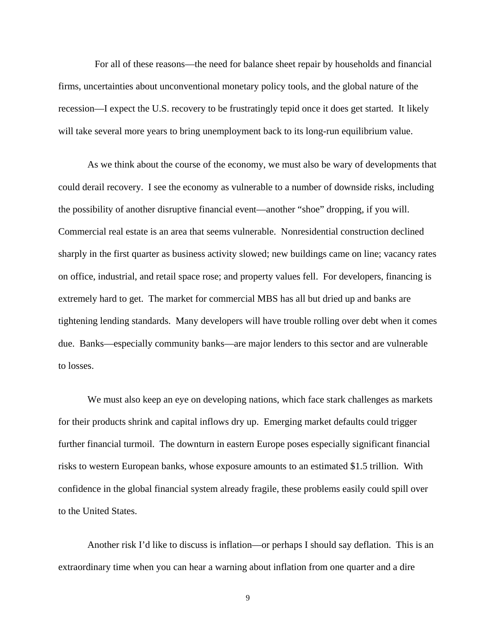For all of these reasons—the need for balance sheet repair by households and financial firms, uncertainties about unconventional monetary policy tools, and the global nature of the recession—I expect the U.S. recovery to be frustratingly tepid once it does get started. It likely will take several more years to bring unemployment back to its long-run equilibrium value.

As we think about the course of the economy, we must also be wary of developments that could derail recovery. I see the economy as vulnerable to a number of downside risks, including the possibility of another disruptive financial event—another "shoe" dropping, if you will. Commercial real estate is an area that seems vulnerable. Nonresidential construction declined sharply in the first quarter as business activity slowed; new buildings came on line; vacancy rates on office, industrial, and retail space rose; and property values fell. For developers, financing is extremely hard to get. The market for commercial MBS has all but dried up and banks are tightening lending standards. Many developers will have trouble rolling over debt when it comes due. Banks—especially community banks—are major lenders to this sector and are vulnerable to losses.

We must also keep an eye on developing nations, which face stark challenges as markets for their products shrink and capital inflows dry up. Emerging market defaults could trigger further financial turmoil. The downturn in eastern Europe poses especially significant financial risks to western European banks, whose exposure amounts to an estimated \$1.5 trillion. With confidence in the global financial system already fragile, these problems easily could spill over to the United States.

Another risk I'd like to discuss is inflation—or perhaps I should say deflation. This is an extraordinary time when you can hear a warning about inflation from one quarter and a dire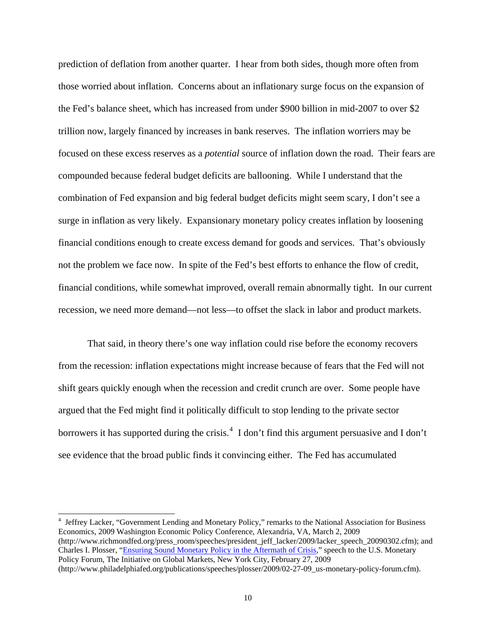prediction of deflation from another quarter. I hear from both sides, though more often from those worried about inflation. Concerns about an inflationary surge focus on the expansion of the Fed's balance sheet, which has increased from under \$900 billion in mid-2007 to over \$2 trillion now, largely financed by increases in bank reserves. The inflation worriers may be focused on these excess reserves as a *potential* source of inflation down the road. Their fears are compounded because federal budget deficits are ballooning. While I understand that the combination of Fed expansion and big federal budget deficits might seem scary, I don't see a surge in inflation as very likely. Expansionary monetary policy creates inflation by loosening financial conditions enough to create excess demand for goods and services. That's obviously not the problem we face now. In spite of the Fed's best efforts to enhance the flow of credit, financial conditions, while somewhat improved, overall remain abnormally tight. In our current recession, we need more demand—not less—to offset the slack in labor and product markets.

That said, in theory there's one way inflation could rise before the economy recovers from the recession: inflation expectations might increase because of fears that the Fed will not shift gears quickly enough when the recession and credit crunch are over. Some people have argued that the Fed might find it politically difficult to stop lending to the private sector borrowers it has supported during the crisis.<sup>[4](#page-9-0)</sup> I don't find this argument persuasive and I don't see evidence that the broad public finds it convincing either. The Fed has accumulated

<span id="page-9-0"></span><sup>&</sup>lt;sup>4</sup> Jeffrey Lacker, "Government Lending and Monetary Policy," remarks to the National Association for Business Economics, 2009 Washington Economic Policy Conference, Alexandria, VA, March 2, 2009 (http://www.richmondfed.org/press\_room/speeches/president\_jeff\_lacker/2009/lacker\_speech\_20090302.cfm); and Charles I. Plosser, "[Ensuring Sound Monetary Policy in the Aftermath of Crisis,](http://www.philadelphiafed.org/publications/speeches/plosser/2009/02-27-09_us-monetary-policy-forum.cfm)" speech to the U.S. Monetary Policy Forum, The Initiative on Global Markets, New York City, February 27, 2009 (http://www.philadelphiafed.org/publications/speeches/plosser/2009/02-27-09\_us-monetary-policy-forum.cfm).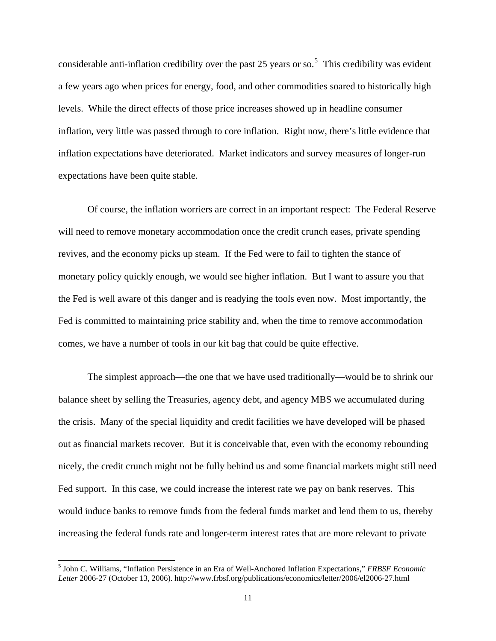considerable anti-inflation credibility over the past 2[5](#page-10-0) years or so.<sup>5</sup> This credibility was evident a few years ago when prices for energy, food, and other commodities soared to historically high levels. While the direct effects of those price increases showed up in headline consumer inflation, very little was passed through to core inflation. Right now, there's little evidence that inflation expectations have deteriorated. Market indicators and survey measures of longer-run expectations have been quite stable.

Of course, the inflation worriers are correct in an important respect: The Federal Reserve will need to remove monetary accommodation once the credit crunch eases, private spending revives, and the economy picks up steam. If the Fed were to fail to tighten the stance of monetary policy quickly enough, we would see higher inflation. But I want to assure you that the Fed is well aware of this danger and is readying the tools even now. Most importantly, the Fed is committed to maintaining price stability and, when the time to remove accommodation comes, we have a number of tools in our kit bag that could be quite effective.

The simplest approach—the one that we have used traditionally—would be to shrink our balance sheet by selling the Treasuries, agency debt, and agency MBS we accumulated during the crisis. Many of the special liquidity and credit facilities we have developed will be phased out as financial markets recover. But it is conceivable that, even with the economy rebounding nicely, the credit crunch might not be fully behind us and some financial markets might still need Fed support. In this case, we could increase the interest rate we pay on bank reserves. This would induce banks to remove funds from the federal funds market and lend them to us, thereby increasing the federal funds rate and longer-term interest rates that are more relevant to private

<span id="page-10-0"></span><sup>5</sup> John C. Williams, "Inflation Persistence in an Era of Well-Anchored Inflation Expectations," *FRBSF Economic Letter* 2006-27 (October 13, 2006). http://www.frbsf.org/publications/economics/letter/2006/el2006-27.html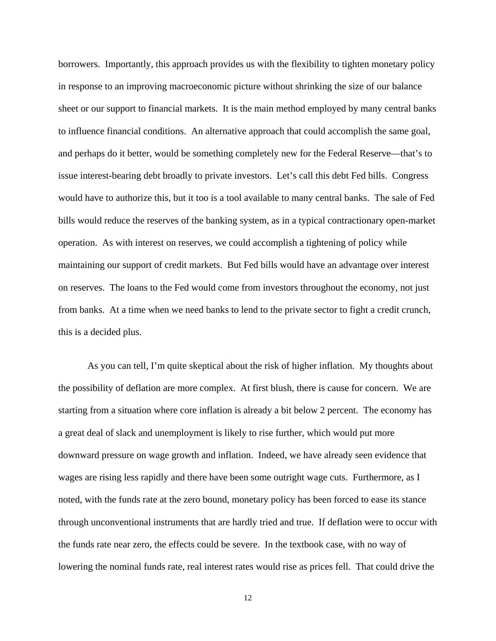borrowers. Importantly, this approach provides us with the flexibility to tighten monetary policy in response to an improving macroeconomic picture without shrinking the size of our balance sheet or our support to financial markets. It is the main method employed by many central banks to influence financial conditions. An alternative approach that could accomplish the same goal, and perhaps do it better, would be something completely new for the Federal Reserve—that's to issue interest-bearing debt broadly to private investors. Let's call this debt Fed bills. Congress would have to authorize this, but it too is a tool available to many central banks. The sale of Fed bills would reduce the reserves of the banking system, as in a typical contractionary open-market operation. As with interest on reserves, we could accomplish a tightening of policy while maintaining our support of credit markets. But Fed bills would have an advantage over interest on reserves. The loans to the Fed would come from investors throughout the economy, not just from banks. At a time when we need banks to lend to the private sector to fight a credit crunch, this is a decided plus.

As you can tell, I'm quite skeptical about the risk of higher inflation. My thoughts about the possibility of deflation are more complex. At first blush, there is cause for concern. We are starting from a situation where core inflation is already a bit below 2 percent. The economy has a great deal of slack and unemployment is likely to rise further, which would put more downward pressure on wage growth and inflation. Indeed, we have already seen evidence that wages are rising less rapidly and there have been some outright wage cuts. Furthermore, as I noted, with the funds rate at the zero bound, monetary policy has been forced to ease its stance through unconventional instruments that are hardly tried and true. If deflation were to occur with the funds rate near zero, the effects could be severe. In the textbook case, with no way of lowering the nominal funds rate, real interest rates would rise as prices fell. That could drive the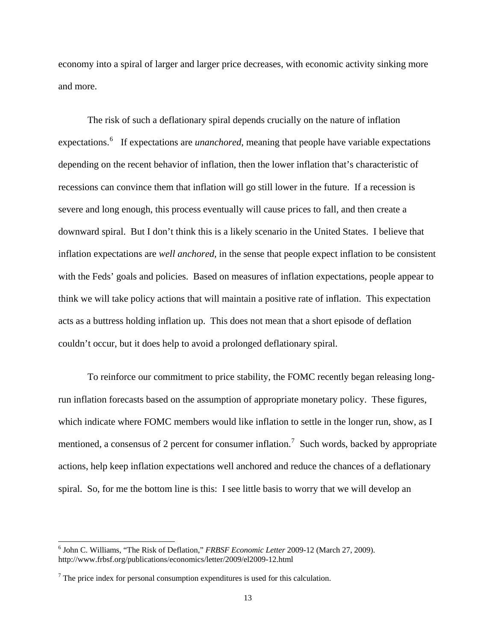economy into a spiral of larger and larger price decreases, with economic activity sinking more and more.

The risk of such a deflationary spiral depends crucially on the nature of inflation expectations.<sup>[6](#page-12-0)</sup> If expectations are *unanchored*, meaning that people have variable expectations depending on the recent behavior of inflation, then the lower inflation that's characteristic of recessions can convince them that inflation will go still lower in the future. If a recession is severe and long enough, this process eventually will cause prices to fall, and then create a downward spiral. But I don't think this is a likely scenario in the United States. I believe that inflation expectations are *well anchored*, in the sense that people expect inflation to be consistent with the Feds' goals and policies. Based on measures of inflation expectations, people appear to think we will take policy actions that will maintain a positive rate of inflation. This expectation acts as a buttress holding inflation up. This does not mean that a short episode of deflation couldn't occur, but it does help to avoid a prolonged deflationary spiral.

To reinforce our commitment to price stability, the FOMC recently began releasing longrun inflation forecasts based on the assumption of appropriate monetary policy. These figures, which indicate where FOMC members would like inflation to settle in the longer run, show, as I mentioned, a consensus of 2 percent for consumer inflation.<sup>[7](#page-12-1)</sup> Such words, backed by appropriate actions, help keep inflation expectations well anchored and reduce the chances of a deflationary spiral. So, for me the bottom line is this: I see little basis to worry that we will develop an

<span id="page-12-0"></span><sup>6</sup> John C. Williams, "The Risk of Deflation," *FRBSF Economic Letter* 2009-12 (March 27, 2009). http://www.frbsf.org/publications/economics/letter/2009/el2009-12.html

<span id="page-12-1"></span> $<sup>7</sup>$  The price index for personal consumption expenditures is used for this calculation.</sup>